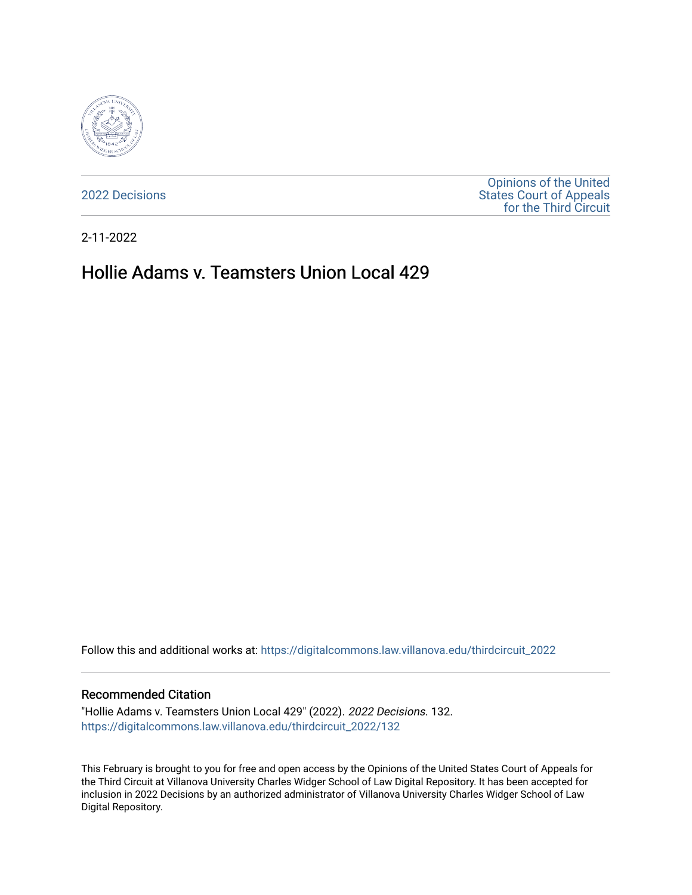

[2022 Decisions](https://digitalcommons.law.villanova.edu/thirdcircuit_2022)

[Opinions of the United](https://digitalcommons.law.villanova.edu/thirdcircuit)  [States Court of Appeals](https://digitalcommons.law.villanova.edu/thirdcircuit)  [for the Third Circuit](https://digitalcommons.law.villanova.edu/thirdcircuit) 

2-11-2022

# Hollie Adams v. Teamsters Union Local 429

Follow this and additional works at: [https://digitalcommons.law.villanova.edu/thirdcircuit\\_2022](https://digitalcommons.law.villanova.edu/thirdcircuit_2022?utm_source=digitalcommons.law.villanova.edu%2Fthirdcircuit_2022%2F132&utm_medium=PDF&utm_campaign=PDFCoverPages) 

#### Recommended Citation

"Hollie Adams v. Teamsters Union Local 429" (2022). 2022 Decisions. 132. [https://digitalcommons.law.villanova.edu/thirdcircuit\\_2022/132](https://digitalcommons.law.villanova.edu/thirdcircuit_2022/132?utm_source=digitalcommons.law.villanova.edu%2Fthirdcircuit_2022%2F132&utm_medium=PDF&utm_campaign=PDFCoverPages)

This February is brought to you for free and open access by the Opinions of the United States Court of Appeals for the Third Circuit at Villanova University Charles Widger School of Law Digital Repository. It has been accepted for inclusion in 2022 Decisions by an authorized administrator of Villanova University Charles Widger School of Law Digital Repository.